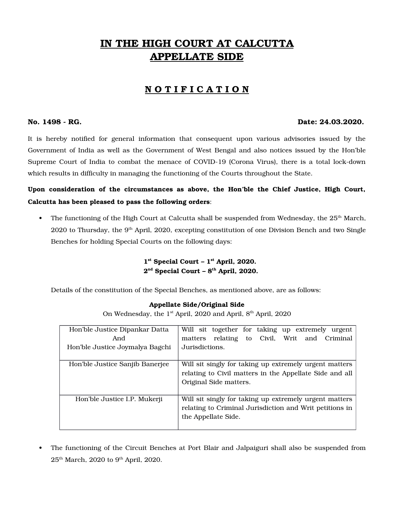# **IN THE HIGH COURT AT CALCUTTA APPELLATE SIDE**

# **N O T I F I C A T I O N**

### **No. 1498 RG. Date: 24.03.2020.**

It is hereby notified for general information that consequent upon various advisories issued by the Government of India as well as the Government of West Bengal and also notices issued by the Hon'ble Supreme Court of India to combat the menace of COVID-19 (Corona Virus), there is a total lock-down which results in difficulty in managing the functioning of the Courts throughout the State.

## **Upon consideration of the circumstances as above, the Hon'ble the Chief Justice, High Court, Calcutta has been pleased to pass the following orders**:

• The functioning of the High Court at Calcutta shall be suspended from Wednesday, the  $25<sup>th</sup>$  March, 2020 to Thursday, the  $9<sup>th</sup>$  April, 2020, excepting constitution of one Division Bench and two Single Benches for holding Special Courts on the following days:

## **1 st Special Court – 1st April, 2020. 2 nd Special Court – 8th April, 2020.**

Details of the constitution of the Special Benches, as mentioned above, are as follows:

#### **Appellate Side/Original Side**

On Wednesday, the 1<sup>st</sup> April, 2020 and April, 8<sup>th</sup> April, 2020

| Hon'ble Justice Dipankar Datta  | Will sit together for taking up extremely<br>urgent                                                                                         |
|---------------------------------|---------------------------------------------------------------------------------------------------------------------------------------------|
| And                             | matters relating<br>to Civil, Writ<br>and Criminal                                                                                          |
| Hon'ble Justice Joymalya Bagchi | Jurisdictions.                                                                                                                              |
| Hon'ble Justice Sanjib Banerjee | Will sit singly for taking up extremely urgent matters<br>relating to Civil matters in the Appellate Side and all<br>Original Side matters. |
| Hon'ble Justice I.P. Mukerji    | Will sit singly for taking up extremely urgent matters<br>relating to Criminal Jurisdiction and Writ petitions in<br>the Appellate Side.    |

 The functioning of the Circuit Benches at Port Blair and Jalpaiguri shall also be suspended from  $25<sup>th</sup>$  March, 2020 to 9<sup>th</sup> April, 2020.